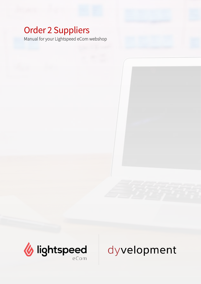## Order 2 Suppliers

Manual for your Lightspeed eCom webshop



# dyvelopment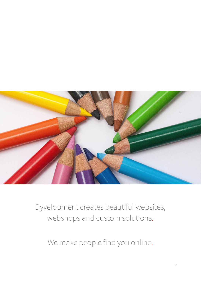

Dyvelopment creates beautiful websites, webshops and custom solutions.

We make people find you online.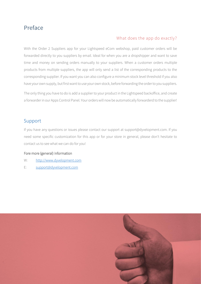### <span id="page-2-0"></span>Preface

#### What does the app do exactly?

With the Order 2 Suppliers app for your Lightspeed eCom webshop, paid customer orders will be forwarded directly to you suppliers by email. Ideal for when you are a dropshipper and want to save time and money on sending orders manually to your suppliers. When a customer orders multiple products from multiple suppliers, the app will only send a list of the corresponding products to the corresponding supplier. If you want you can also configure a minimum stock level threshold if you also have your own supply, but first want to use your own stock, before forwarding the order to you suppliers.

The only thing you have to do is add a supplier to your product in the Lightspeed backoffice, and create a forwarder in our Apps Control Panel. Your orders will now be automatically forwarderd to the supplier!

#### <span id="page-2-1"></span>Support

If you have any questions or issues please contact our support at support@dyvelopment.com. If you need some specific customization for this app or for your store in general, please don't hesitate to contact us to see what we can do for you!

#### Fore more (general) information

- W: [http://www.dyvelopment.com](http://www.dyvelopment.com/)
- E: [support@dyvelopment.com](mailto:support@dyvelopment.com)

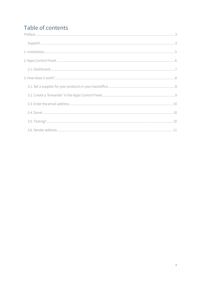## Table of contents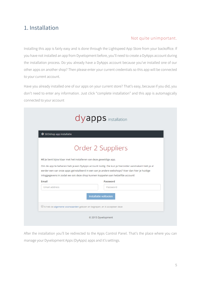## <span id="page-4-0"></span>1. Installation

#### Not quite unimportant.

Installing this app is fairly easy and is done through the Lightspeed App Store from your backoffice. If you have not installed an app from Dyvelopment before, you'll need to create a DyApps account during the installation process. Do you already have a DyApps account because you've installed one of our other apps on another shop? Then please enter your current credentials so this app will be connected to your current account.

Have you already installed one of our apps on your current store? That's easy, because if you did, you don't need to enter any information. Just click "complete installation" and this app is automagically connected to your account

|                                                                                                                                                                                                                                                                         | dyapps installation                                                                                        |
|-------------------------------------------------------------------------------------------------------------------------------------------------------------------------------------------------------------------------------------------------------------------------|------------------------------------------------------------------------------------------------------------|
| SEOshop app installatie                                                                                                                                                                                                                                                 |                                                                                                            |
|                                                                                                                                                                                                                                                                         | Order 2 Suppliers                                                                                          |
| Hi! Je bent bijna klaar met het installeren van deze geweldige app.<br>eerder een van onze apps geïnstalleerd in een van je andere webshops? Voer dan hier je huidige<br>inloggegevens in zodat we ook deze shop kunnen koppelen aan hetzelfde account!<br><b>Email</b> | Om de app te beheren heb je een DyApps account nodig. Die kun je hieronder aanmaken! Heb je al<br>Password |
| <b>Email address</b>                                                                                                                                                                                                                                                    | Password                                                                                                   |
|                                                                                                                                                                                                                                                                         |                                                                                                            |
| Ik heb de algemene voorwaarden gelezen en begrepen, en ik accepteer deze                                                                                                                                                                                                | Installatie voltooien                                                                                      |

After the installation you'll be redirected to the Apps Control Panel. That's the place where you can manage your Dyvelopment Apps (DyApps) apps and it's settings.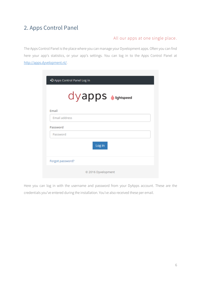## <span id="page-5-0"></span>2. Apps Control Panel

#### All our apps at one single place.

The Apps Control Panel is the place where you can manage your Dyvelopment apps. Often you can find here your app's statistics, or your app's settings. You can log in to the Apps Control Panel at [http://apps.dyvelopment.nl/.](http://apps.dyvelopment.nl/)

|                      | + Apps Control Panel Log in |
|----------------------|-----------------------------|
|                      | $dy$ apps $\&$ lightspeed   |
| Email                |                             |
| <b>Email address</b> |                             |
| Password             |                             |
| Password             |                             |
|                      | Log in                      |
| Forgot password?     |                             |
|                      | © 2016 Dyvelopment          |

Here you can log in with the username and password from your DyApps account. These are the credentials you've entered during the installation. You've also received these per email.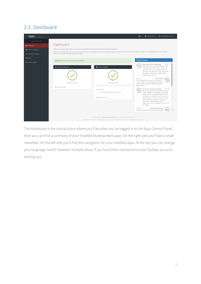## <span id="page-6-0"></span>2.1. Dashboard

| apps control panel         | & info@dyvelopment.nl =<br>$\bullet$ Dyvelopment $\bullet$                                                                                                                                                                                                                                                                                                                                                                                                                                                                                                                                                                                                                                                                                                                                                                                                                                                                                                                                                                                                                                                                                                                                                                                                                                                                                                                                                                                                      |  |  |  |  |
|----------------------------|-----------------------------------------------------------------------------------------------------------------------------------------------------------------------------------------------------------------------------------------------------------------------------------------------------------------------------------------------------------------------------------------------------------------------------------------------------------------------------------------------------------------------------------------------------------------------------------------------------------------------------------------------------------------------------------------------------------------------------------------------------------------------------------------------------------------------------------------------------------------------------------------------------------------------------------------------------------------------------------------------------------------------------------------------------------------------------------------------------------------------------------------------------------------------------------------------------------------------------------------------------------------------------------------------------------------------------------------------------------------------------------------------------------------------------------------------------------------|--|--|--|--|
| Shop id: 62397             |                                                                                                                                                                                                                                                                                                                                                                                                                                                                                                                                                                                                                                                                                                                                                                                                                                                                                                                                                                                                                                                                                                                                                                                                                                                                                                                                                                                                                                                                 |  |  |  |  |
| <b>®</b> Dashboard         | Dashboard                                                                                                                                                                                                                                                                                                                                                                                                                                                                                                                                                                                                                                                                                                                                                                                                                                                                                                                                                                                                                                                                                                                                                                                                                                                                                                                                                                                                                                                       |  |  |  |  |
| <b># Orders 2 Supplier</b> | Welkom in je Apps Control Panel. Hier kun je al je aangeschafte Dyvelopment apps voor SEOshop beheren.<br>Hieronder vind je een kort overzicht van je apps en eventuele statistieken. Aan de rechterzijde vind je een nieuwsoverzicht om je op de hoogte te houden over ontwikkelingen van ons DyApps                                                                                                                                                                                                                                                                                                                                                                                                                                                                                                                                                                                                                                                                                                                                                                                                                                                                                                                                                                                                                                                                                                                                                           |  |  |  |  |
| ₹ Conversion Popups        | platform, en aan de linkerzijde vind je de naviatie.                                                                                                                                                                                                                                                                                                                                                                                                                                                                                                                                                                                                                                                                                                                                                                                                                                                                                                                                                                                                                                                                                                                                                                                                                                                                                                                                                                                                            |  |  |  |  |
| <b>Q</b> Admin             | <b>*</b> DyApps Nieuws<br>Bedankt! Je app is zojuist succesvol geïnstalleerd.                                                                                                                                                                                                                                                                                                                                                                                                                                                                                                                                                                                                                                                                                                                                                                                                                                                                                                                                                                                                                                                                                                                                                                                                                                                                                                                                                                                   |  |  |  |  |
| <b>⊠</b> Contact support   | $Q$ 08-11<br><b>Apps Control Panel meertalig!</b><br>Hola! We werken momenteel druk aan een<br>← Conversion Popups<br><b>60</b> Order 2 Suppliers<br>meertalig Apps Control Panel. Het kan zijn<br>dat je af en toe nog wat Engelse tekst ziet<br>gemengd met Nederlands. Dat is inderdaad<br>een beetje slordig maar beetje bij beetje<br>strijken we alles glad :-)<br>$Q$ 21-09<br>Nieuw design<br>'N)<br>Hi! Vandaag hebben we een nieuw design<br>voor ons Apps Control Panel geïntroduceerd.<br>Deze app is actief<br>Deze app is actief<br>Geen zorgen, het werkt nog precies zoals je<br>gewend bent!<br>O Open deze app<br><b>Conversion Popups instellingen</b><br>$O$ 15-09<br>App statistics:<br>We zijn blij te kunnen vermelden dat het per<br>. Forwarded 0 / 50 orders this month<br>heden mogelijk is om te kiezen voor welke<br>categorieën de automatisch gegenereerde<br>kortingscode moet gelden. Je kan nu kiezen<br>O Open deze app<br>om een gegenereerde kortingscode te laten<br>gelden voor al je producten, of enkel op<br>producten binnen de geselecteerde<br>categorieën. Via het instellingen menu kun je<br>dit instellen.<br><b>Auto Watermark fixes</b><br>$Q$ 21-08<br>New app customers had some issues setting<br>@ 2015 Dyvelopment   Algemene voorwaarden zijn van toepassing op al onze diensten<br>Door gebruik te maken van onze diensten ga je akkoord met onze algemene voorwaarden, en erken je deze te begrijpen |  |  |  |  |

The dashboard is the central place where you'll be when you've logged in to the Apps Control Panel. Here you can find a summary of your installed Dyvelopment apps. On the right side you'll see a small newsfeed. On the left side you'll find the navigation for your installed apps. At the top you can change your language, switch between multiple shops if you have them connected to your DyApps account, and log out.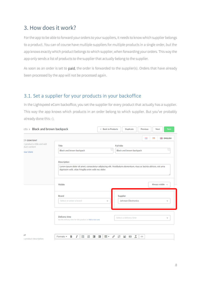## <span id="page-7-0"></span>3. How does it work?

For the app to be able to forward your orders to your suppliers, it needs to know which supplier belongs to a product. You can of course have multiple suppliers for multiple products in a single order, but the app knows exactly which product belongs to which supplier, when forwarding your orders. This way the app only sends a list of products to the supplier that actually belong to the supplier.

As soon as an order is set to **paid**, the order is forwarded to the supplier(s). Orders that have already been processed by the app will not be processed again.

#### <span id="page-7-1"></span>3.1. Set a supplier for your products in your backoffice

In the Lightspeed eCom backoffice, you set the supplier for every product that actually has a supplier. This way the app knows which products in an order belong to which supplier. But you've probably already done this :-).

| cts > Black and brown backpack                          |                                                                                                                                                                                                    | ← Back to Products                |                   | <b>Duplicate</b>                         | Previous      |               | Next             | Save              |
|---------------------------------------------------------|----------------------------------------------------------------------------------------------------------------------------------------------------------------------------------------------------|-----------------------------------|-------------------|------------------------------------------|---------------|---------------|------------------|-------------------|
| <b>IT CONTENT</b>                                       |                                                                                                                                                                                                    |                                   |                   |                                          | $=$           | <b>Inches</b> |                  | <b>EE ENGLISH</b> |
| r product a title and add<br>duct content<br>rour store | Title<br>Black and brown backpack                                                                                                                                                                  |                                   | <b>Full title</b> | Black and brown backpack                 |               |               |                  | ⊡                 |
|                                                         | <b>Description</b><br>Lorem ipsum dolor sit amet, consectetur adipiscing elit. Vestibulum elementum, risus ac lacinia ultrices, est urna<br>dignissim velit, vitae fringilla enim velit nec dolor. |                                   |                   |                                          |               |               |                  |                   |
|                                                         | Visible                                                                                                                                                                                            |                                   |                   |                                          |               |               | Always visible = |                   |
|                                                         | Brand<br>Select or enter a brand                                                                                                                                                                   | $\mathbf{v}$                      |                   | Supplier<br><b>Johnson Electronics</b>   |               |               |                  | v                 |
|                                                         | Delivery time<br>Set the delivery time for this product or Add a new one                                                                                                                           |                                   |                   | Select a delivery time                   |               |               |                  | v                 |
| đΤ<br>a product description                             | 白 日 理 理 個・<br>B<br>$\mathcal{I}$<br>Formats $\sim$                                                                                                                                                 | $\phi^{\!{\scriptscriptstyle O}}$ | 淴                 | $\mathcal{I}_{\mathbf{x}}$<br><b>A B</b> | $\rightarrow$ |               |                  |                   |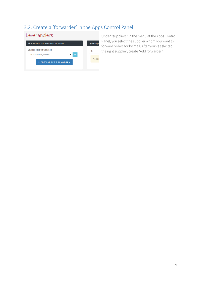## <span id="page-8-0"></span>3.2. Create a 'forwarder' in the Apps Control Panel

| Leveranciers                                         |               |
|------------------------------------------------------|---------------|
| + Forwarder aan leverancier koppelen                 | <b>Huidig</b> |
| Leveranciers uit webshop<br>Groothandel Janssen<br>ø | ID            |
| <b>+ FORWARDER TOEVOEGEN</b>                         | Nog ge        |
|                                                      |               |

Under "suppliers" in the menu at the Apps Control Panel, you select the supplier whom you want to forward orders for by mail. After you've selected the right supplier, create "Add forwarder"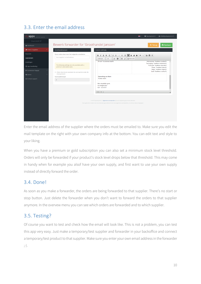## <span id="page-9-0"></span>3.3. Enter the email address

| apps control panel                                                                             | ≗ info@dyvelopment.nl ▼<br>Dyvelopment -                                                                                                                                                                                                                                                                                                                                                                                                                                                                       |
|------------------------------------------------------------------------------------------------|----------------------------------------------------------------------------------------------------------------------------------------------------------------------------------------------------------------------------------------------------------------------------------------------------------------------------------------------------------------------------------------------------------------------------------------------------------------------------------------------------------------|
| Shop id: 62397                                                                                 |                                                                                                                                                                                                                                                                                                                                                                                                                                                                                                                |
| <b>®</b> Dashboard                                                                             | Bewerk forwarder for 'Groothandel Janssen'<br><b>A</b> Opslaan<br><b><terug< b=""></terug<></b>                                                                                                                                                                                                                                                                                                                                                                                                                |
| <b>@</b> Order 2 Suppliers                                                                     | Groothandel Janssen<br>Custom mail body                                                                                                                                                                                                                                                                                                                                                                                                                                                                        |
| Overzicht                                                                                      | Stuur orders door naar het volgende e-mailadres<br>国田圭<br>$B$ $I$ $\sqcup$ $S$ $\sqcup$<br>$\circledast$<br>$\otimes$                                                                                                                                                                                                                                                                                                                                                                                          |
| <b>Leveranciers</b>                                                                            | Your supplier's email address<br>5: 50 Broncode<br>Let -<br>$A - B$<br>Lettertype -                                                                                                                                                                                                                                                                                                                                                                                                                            |
| Instellingen<br>App handleiding<br>₹ Conversion Popups<br>Qg Admin<br><b>E</b> Contact support | Huisnummer: %address.number%<br>E-mail: %customer.email%<br>Toevoeging: %address.extension%<br>The following settings are only available with a<br>Postcode: %address.zipcode%<br>premium subscription plan.<br>Plaats: %address.place%<br>Regio: %address.region%<br>Land: %address.country%<br>Alleen doorsturen wanneer de voorraad de onder de<br>drempel komt<br>Opmerking van klant:<br>Voorraaddrempel<br>%order.note%<br>$\mathbf{0}$<br>Met vriendelijke groet,<br>Uw bedrijfsnaam<br>020 - 123 45 67 |
|                                                                                                | body div p<br>@ 2015 Dyvelopment   Algemene voorwaarden zijn van toepassing op al onze diensten<br>Door gebruik te maken van onze diensten ga je akkoord met onze algemene voorwaarden, en erken je deze te begrijpen                                                                                                                                                                                                                                                                                          |

Enter the email address of the supplier where the orders must be emailed to. Make sure you edit the mail template on the right with your own company info at the bottom. You can edit text and style to your liking.

When you have a premium or gold subscription you can also set a minimum stock level threshold. Orders will only be forwarded if your product's stock level drops below that threshold. This may come in handy when for example you alsof have your own supply, and first want to use your own supply instead of directly forward the order.

#### <span id="page-9-1"></span>3.4. Done!

As soon as you make a forwarder, the orders are being forwarded to that supplier. There's no start or stop button. Just delete the forwarder when you don't want to forward the orders to that supplier anymore. In the overvew menu you can see which orders are forwarded and to which supplier.

#### <span id="page-9-2"></span>3.5. Testing?

Of course you want to test and check how the email will look like. This is not a problem, you can test this app very easy. Just make a temporary/test supplier and forwarder in your backoffice and connect a temporary/test product to that supplier. Make sure you enter your own email address in the forwarder ;-).